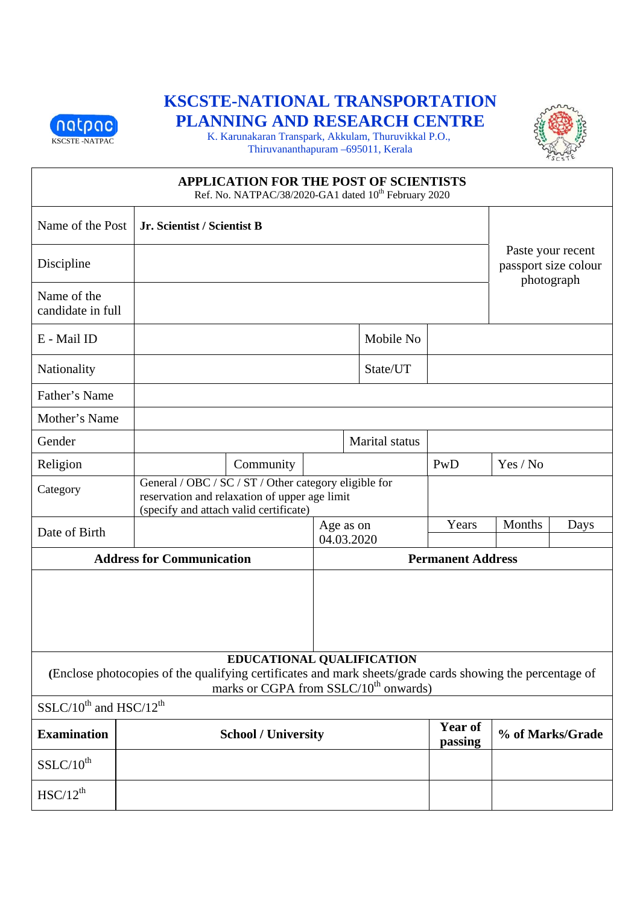

# **KSCSTE-NATIONAL TRANSPORTATION** PLANNING AND RESEARCH CENTRE



K. Karunakaran Transpark, Akkulam, Thuruvikkal P.O., Thiruvananthapuram -695011, Kerala

| <b>APPLICATION FOR THE POST OF SCIENTISTS</b><br>Ref. No. NATPAC/38/2020-GA1 dated 10 <sup>th</sup> February 2020                                                                           |                                  |                                                                                                                                                  |                         |                                                         |                           |                  |      |
|---------------------------------------------------------------------------------------------------------------------------------------------------------------------------------------------|----------------------------------|--------------------------------------------------------------------------------------------------------------------------------------------------|-------------------------|---------------------------------------------------------|---------------------------|------------------|------|
| Name of the Post                                                                                                                                                                            | Jr. Scientist / Scientist B      |                                                                                                                                                  |                         |                                                         |                           |                  |      |
| Discipline                                                                                                                                                                                  |                                  |                                                                                                                                                  |                         | Paste your recent<br>passport size colour<br>photograph |                           |                  |      |
| Name of the<br>candidate in full                                                                                                                                                            |                                  |                                                                                                                                                  |                         |                                                         |                           |                  |      |
| E - Mail ID                                                                                                                                                                                 |                                  |                                                                                                                                                  |                         | Mobile No                                               |                           |                  |      |
| Nationality                                                                                                                                                                                 |                                  |                                                                                                                                                  |                         | State/UT                                                |                           |                  |      |
| Father's Name                                                                                                                                                                               |                                  |                                                                                                                                                  |                         |                                                         |                           |                  |      |
| Mother's Name                                                                                                                                                                               |                                  |                                                                                                                                                  |                         |                                                         |                           |                  |      |
| Gender                                                                                                                                                                                      |                                  |                                                                                                                                                  |                         | Marital status                                          |                           |                  |      |
| Religion                                                                                                                                                                                    |                                  | Community                                                                                                                                        |                         |                                                         | PwD                       | Yes / No         |      |
| Category                                                                                                                                                                                    |                                  | General / OBC / SC / ST / Other category eligible for<br>reservation and relaxation of upper age limit<br>(specify and attach valid certificate) |                         |                                                         |                           |                  |      |
| Date of Birth                                                                                                                                                                               |                                  |                                                                                                                                                  | Age as on<br>04.03.2020 |                                                         | Years                     | Months           | Days |
|                                                                                                                                                                                             | <b>Address for Communication</b> |                                                                                                                                                  |                         |                                                         | <b>Permanent Address</b>  |                  |      |
|                                                                                                                                                                                             |                                  |                                                                                                                                                  |                         |                                                         |                           |                  |      |
| EDUCATIONAL QUALIFICATION<br>(Enclose photocopies of the qualifying certificates and mark sheets/grade cards showing the percentage of<br>marks or CGPA from SSLC/10 <sup>th</sup> onwards) |                                  |                                                                                                                                                  |                         |                                                         |                           |                  |      |
| $SSLC/10^{th}$ and $HSC/12^{th}$                                                                                                                                                            |                                  |                                                                                                                                                  |                         |                                                         |                           |                  |      |
| <b>Examination</b>                                                                                                                                                                          |                                  | <b>School / University</b>                                                                                                                       |                         |                                                         | <b>Year of</b><br>passing | % of Marks/Grade |      |
| $SSLC/10^{th}$                                                                                                                                                                              |                                  |                                                                                                                                                  |                         |                                                         |                           |                  |      |
| $HSC/12^{th}$                                                                                                                                                                               |                                  |                                                                                                                                                  |                         |                                                         |                           |                  |      |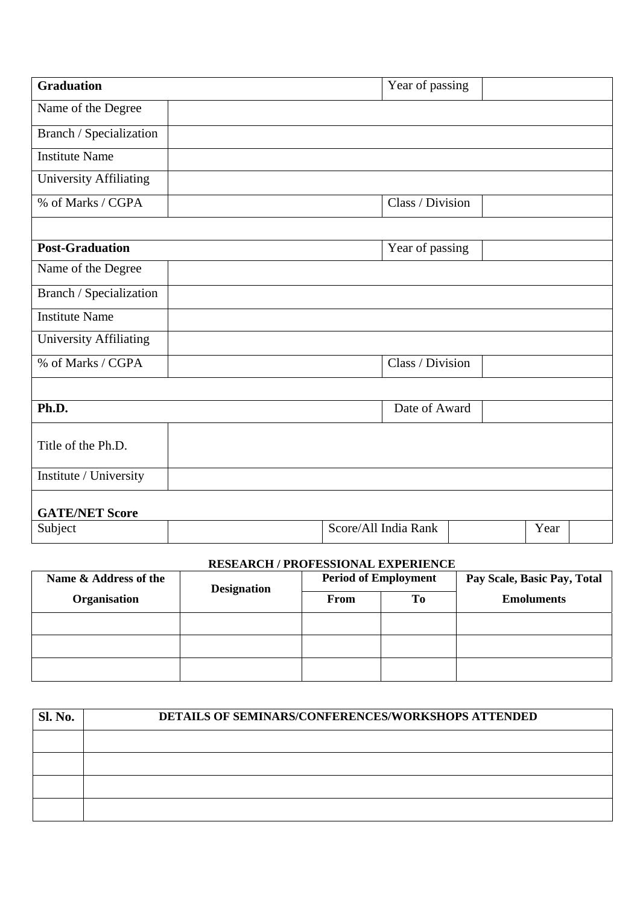| <b>Graduation</b>             |                      | Year of passing  |  |  |  |  |
|-------------------------------|----------------------|------------------|--|--|--|--|
| Name of the Degree            |                      |                  |  |  |  |  |
| Branch / Specialization       |                      |                  |  |  |  |  |
| <b>Institute Name</b>         |                      |                  |  |  |  |  |
| <b>University Affiliating</b> |                      |                  |  |  |  |  |
| % of Marks / CGPA             |                      | Class / Division |  |  |  |  |
|                               |                      |                  |  |  |  |  |
| <b>Post-Graduation</b>        |                      | Year of passing  |  |  |  |  |
| Name of the Degree            |                      |                  |  |  |  |  |
| Branch / Specialization       |                      |                  |  |  |  |  |
| <b>Institute Name</b>         |                      |                  |  |  |  |  |
| University Affiliating        |                      |                  |  |  |  |  |
| % of Marks / CGPA             |                      | Class / Division |  |  |  |  |
|                               |                      |                  |  |  |  |  |
| Ph.D.                         |                      | Date of Award    |  |  |  |  |
| Title of the Ph.D.            |                      |                  |  |  |  |  |
| Institute / University        |                      |                  |  |  |  |  |
| <b>GATE/NET Score</b>         |                      |                  |  |  |  |  |
| Subject                       | Score/All India Rank | Year             |  |  |  |  |

#### **RESEARCH / PROFESSIONAL EXPERIENCE**

| Name & Address of the | <b>Designation</b> | <b>Period of Employment</b> |    | Pay Scale, Basic Pay, Total |
|-----------------------|--------------------|-----------------------------|----|-----------------------------|
| Organisation          |                    | From                        | To | <b>Emoluments</b>           |
|                       |                    |                             |    |                             |
|                       |                    |                             |    |                             |
|                       |                    |                             |    |                             |

| <b>Sl. No.</b> | <b>DETAILS OF SEMINARS/CONFERENCES/WORKSHOPS ATTENDED</b> |  |  |  |
|----------------|-----------------------------------------------------------|--|--|--|
|                |                                                           |  |  |  |
|                |                                                           |  |  |  |
|                |                                                           |  |  |  |
|                |                                                           |  |  |  |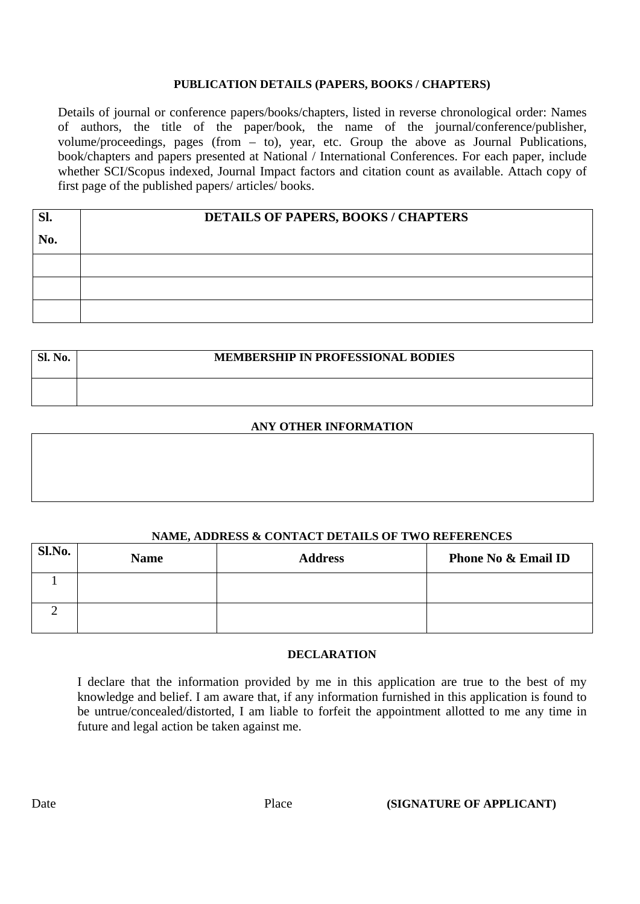#### **PUBLICATION DETAILS (PAPERS, BOOKS / CHAPTERS)**

Details of journal or conference papers/books/chapters, listed in reverse chronological order: Names of authors, the title of the paper/book, the name of the journal/conference/publisher, volume/proceedings, pages (from – to), year, etc. Group the above as Journal Publications, book/chapters and papers presented at National / International Conferences. For each paper, include whether SCI/Scopus indexed, Journal Impact factors and citation count as available. Attach copy of first page of the published papers/ articles/ books.

| Sl. | DETAILS OF PAPERS, BOOKS / CHAPTERS |  |  |
|-----|-------------------------------------|--|--|
| No. |                                     |  |  |
|     |                                     |  |  |
|     |                                     |  |  |
|     |                                     |  |  |

| <b>Sl. No.</b> | <b>MEMBERSHIP IN PROFESSIONAL BODIES</b> |  |  |  |
|----------------|------------------------------------------|--|--|--|
|                |                                          |  |  |  |

### **ANY OTHER INFORMATION**

#### **NAME, ADDRESS & CONTACT DETAILS OF TWO REFERENCES**

| Sl.No. | <b>Name</b> | <b>Address</b> | <b>Phone No &amp; Email ID</b> |
|--------|-------------|----------------|--------------------------------|
|        |             |                |                                |
|        |             |                |                                |

#### **DECLARATION**

I declare that the information provided by me in this application are true to the best of my knowledge and belief. I am aware that, if any information furnished in this application is found to be untrue/concealed/distorted, I am liable to forfeit the appointment allotted to me any time in future and legal action be taken against me.